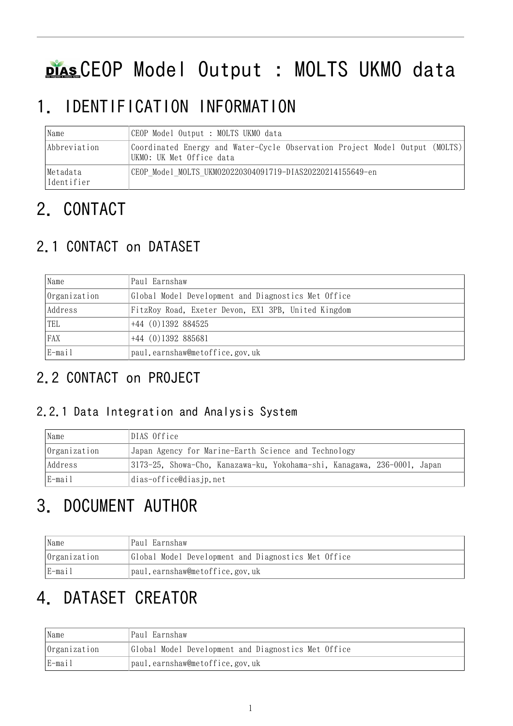# DIAS CEOP Model Output : MOLTS UKMO data

## 1. IDENTIFICATION INFORMATION

| Name                    | CEOP Model Output : MOLTS UKMO data                                                                     |  |  |
|-------------------------|---------------------------------------------------------------------------------------------------------|--|--|
| Abbreviation            | Coordinated Energy and Water-Cycle Observation Project Model Output (MOLTS)<br>UKMO: UK Met Office data |  |  |
| Metadata<br> Identifier | CEOP Model MOLTS UKM020220304091719-DIAS20220214155649-en                                               |  |  |

## 2. CONTACT

## 2.1 CONTACT on DATASET

| Name         | Paul Earnshaw                                       |  |
|--------------|-----------------------------------------------------|--|
| Organization | Global Model Development and Diagnostics Met Office |  |
| Address      | FitzRoy Road, Exeter Devon, EX1 3PB, United Kingdom |  |
| TEL          | $+44$ (0)1392 884525                                |  |
| FAX          | $+44$ (0)1392 885681                                |  |
| E-mail       | paul.earnshaw@metoffice.gov.uk                      |  |

## 2.2 CONTACT on PROJECT

#### 2.2.1 Data Integration and Analysis System

| Name         | DIAS Office                                                              |  |  |
|--------------|--------------------------------------------------------------------------|--|--|
| Organization | Japan Agency for Marine-Earth Science and Technology                     |  |  |
| Address      | 3173-25, Showa-Cho, Kanazawa-ku, Yokohama-shi, Kanagawa, 236-0001, Japan |  |  |
| E-mail       | dias-office@diasjp.net                                                   |  |  |

## 3. DOCUMENT AUTHOR

| Name                | Paul Earnshaw                                       |  |
|---------------------|-----------------------------------------------------|--|
| <i>Organization</i> | Global Model Development and Diagnostics Met Office |  |
| E-mail              | paul.earnshaw@metoffice.gov.uk                      |  |

## 4. DATASET CREATOR

| Name         | Paul Earnshaw                                       |  |
|--------------|-----------------------------------------------------|--|
| Organization | Global Model Development and Diagnostics Met Office |  |
| E-mail       | paul.earnshaw@metoffice.gov.uk                      |  |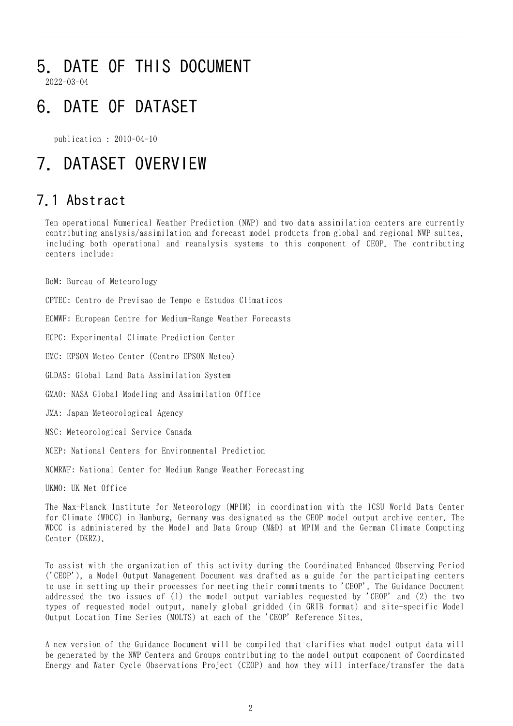## 5. DATE OF THIS DOCUMENT

2022-03-04

## 6. DATE OF DATASET

publication : 2010-04-10

## 7. DATASET OVERVIEW

### 7.1 Abstract

Ten operational Numerical Weather Prediction (NWP) and two data assimilation centers are currently contributing analysis/assimilation and forecast model products from global and regional NWP suites, including both operational and reanalysis systems to this component of CEOP. The contributing centers include:

BoM: Bureau of Meteorology

CPTEC: Centro de Previsao de Tempo e Estudos Climaticos

ECMWF: European Centre for Medium-Range Weather Forecasts

ECPC: Experimental Climate Prediction Center

EMC: EPSON Meteo Center (Centro EPSON Meteo)

GLDAS: Global Land Data Assimilation System

GMAO: NASA Global Modeling and Assimilation Office

JMA: Japan Meteorological Agency

MSC: Meteorological Service Canada

NCEP: National Centers for Environmental Prediction

NCMRWF: National Center for Medium Range Weather Forecasting

UKMO: UK Met Office

The Max-Planck Institute for Meteorology (MPIM) in coordination with the ICSU World Data Center for Climate (WDCC) in Hamburg, Germany was designated as the CEOP model output archive center. The WDCC is administered by the Model and Data Group (M&D) at MPIM and the German Climate Computing Center (DKRZ).

To assist with the organization of this activity during the Coordinated Enhanced Observing Period ('CEOP'), a Model Output Management Document was drafted as a guide for the participating centers to use in setting up their processes for meeting their commitments to 'CEOP'. The Guidance Document addressed the two issues of (1) the model output variables requested by 'CEOP' and (2) the two types of requested model output, namely global gridded (in GRIB format) and site-specific Model Output Location Time Series (MOLTS) at each of the 'CEOP' Reference Sites.

A new version of the Guidance Document will be compiled that clarifies what model output data will be generated by the NWP Centers and Groups contributing to the model output component of Coordinated Energy and Water Cycle Observations Project (CEOP) and how they will interface/transfer the data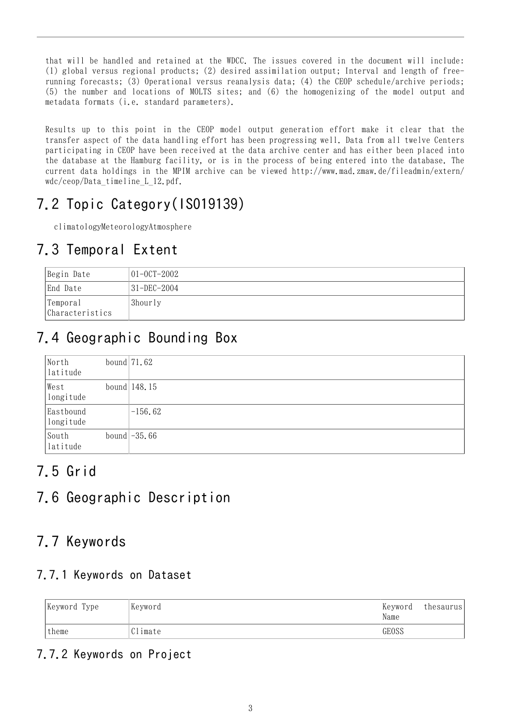that will be handled and retained at the WDCC. The issues covered in the document will include: (1) global versus regional products; (2) desired assimilation output; Interval and length of freerunning forecasts; (3) Operational versus reanalysis data; (4) the CEOP schedule/archive periods; (5) the number and locations of MOLTS sites; and (6) the homogenizing of the model output and metadata formats (i.e. standard parameters).

Results up to this point in the CEOP model output generation effort make it clear that the transfer aspect of the data handling effort has been progressing well. Data from all twelve Centers participating in CEOP have been received at the data archive center and has either been placed into the database at the Hamburg facility, or is in the process of being entered into the database. The current data holdings in the MPIM archive can be viewed http://www.mad.zmaw.de/fileadmin/extern/ wdc/ceop/Data\_timeline\_L\_12.pdf.

## 7.2 Topic Category(ISO19139)

climatologyMeteorologyAtmosphere

### 7.3 Temporal Extent

| Begin Date                  | $ 01 - 00T - 2002 $ |
|-----------------------------|---------------------|
| End Date                    | 31-DEC-2004         |
| Temporal<br>Characteristics | 3hourly             |

## 7.4 Geographic Bounding Box

| North<br>latitude      | bound $71.62$  |
|------------------------|----------------|
| West<br>longitude      | bound $148.15$ |
| Eastbound<br>longitude | $-156.62$      |
| South<br>latitude      | bound $-35.66$ |

### 7.5 Grid

### 7.6 Geographic Description

### 7.7 Keywords

#### 7.7.1 Keywords on Dataset

| Keyword Type | Keyword | Keyword<br>Name | thesaurus |
|--------------|---------|-----------------|-----------|
| theme        | Climate | GEOSS           |           |

#### 7.7.2 Keywords on Project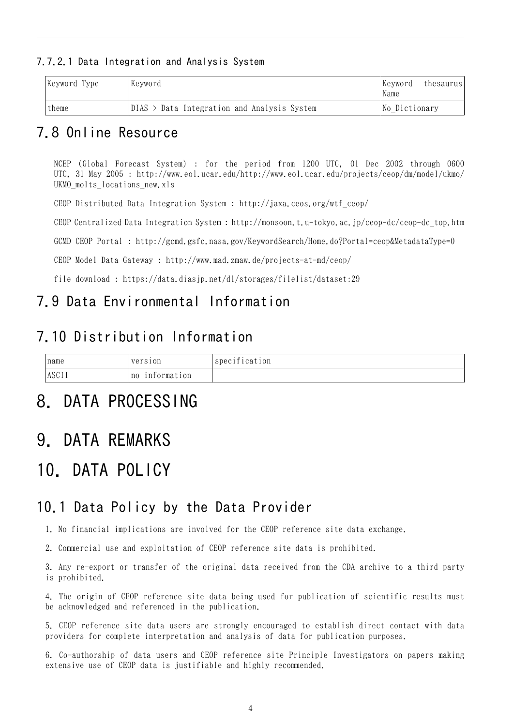#### 7.7.2.1 Data Integration and Analysis System

| Keyword Type | Kevword                                          | Kevword <br>thesaurus<br>Name |
|--------------|--------------------------------------------------|-------------------------------|
| theme        | $DIAS$ ><br>Data Integration and Analysis System | No Dictionary                 |

#### 7.8 Online Resource

NCEP (Global Forecast System) : for the period from 1200 UTC, 01 Dec 2002 through 0600 UTC, 31 May 2005 : [http://www.eol.ucar.edu/http://www.eol.ucar.edu/projects/ceop/dm/model/ukmo/](http://www.eol.ucar.edu/http://www.eol.ucar.edu/projects/ceop/dm/model/ukmo/UKMO_molts_locations_new.xls) UKMO molts locations new.xls

CEOP Distributed Data Integration System : [http://jaxa.ceos.org/wtf\\_ceop/](http://jaxa.ceos.org/wtf_ceop/)

CEOP Centralized Data Integration System : [http://monsoon.t.u-tokyo.ac.jp/ceop-dc/ceop-dc\\_top.htm](http://monsoon.t.u-tokyo.ac.jp/ceop-dc/ceop-dc_top.htm)

GCMD CEOP Portal : <http://gcmd.gsfc.nasa.gov/KeywordSearch/Home.do?Portal=ceop&MetadataType=0>

CEOP Model Data Gateway : <http://www.mad.zmaw.de/projects-at-md/ceop/>

file download : <https://data.diasjp.net/dl/storages/filelist/dataset:29>

#### 7.9 Data Environmental Information

### 7.10 Distribution Information

| name         | version           | $\mathbf{a}$ .<br>specification |
|--------------|-------------------|---------------------------------|
| <b>ASCII</b> | information<br>n0 |                                 |

## 8. DATA PROCESSING

## 9. DATA REMARKS

## 10. DATA POLICY

#### 10.1 Data Policy by the Data Provider

1. No financial implications are involved for the CEOP reference site data exchange.

2. Commercial use and exploitation of CEOP reference site data is prohibited.

3. Any re-export or transfer of the original data received from the CDA archive to a third party is prohibited.

4. The origin of CEOP reference site data being used for publication of scientific results must be acknowledged and referenced in the publication.

5. CEOP reference site data users are strongly encouraged to establish direct contact with data providers for complete interpretation and analysis of data for publication purposes.

6. Co-authorship of data users and CEOP reference site Principle Investigators on papers making extensive use of CEOP data is justifiable and highly recommended.